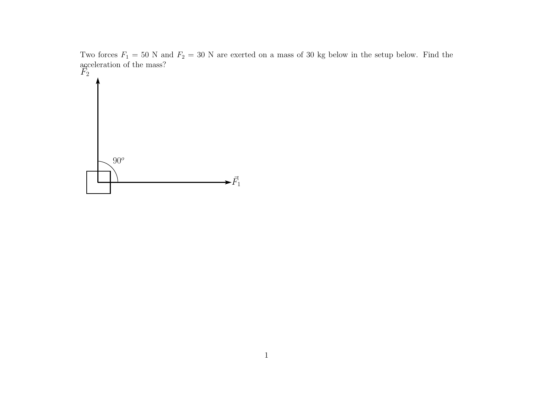Two forces  $F_1 = 50$  N and  $F_2 = 30$  N are exerted on a mass of 30 kg below in the setup below. Find the acceleration of the mass?<br> $\overline{F}_2$ 

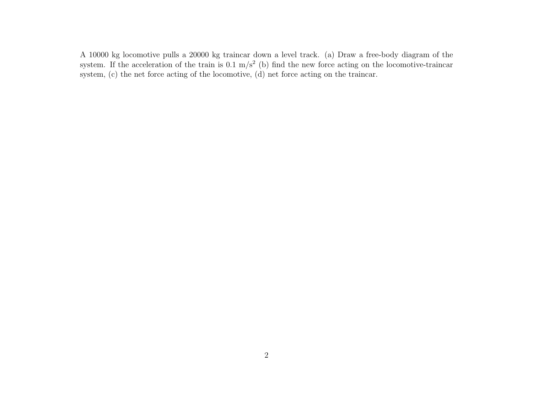A 10000 kg locomotive pulls a 20000 kg traincar down a level track. (a) Draw a free-body diagram of the system. If the acceleration of the train is  $0.1 \text{ m/s}^2$  (b) find the new force acting on the locomotive-traincar system, (c) the net force acting of the locomotive, (d) net force acting on the traincar.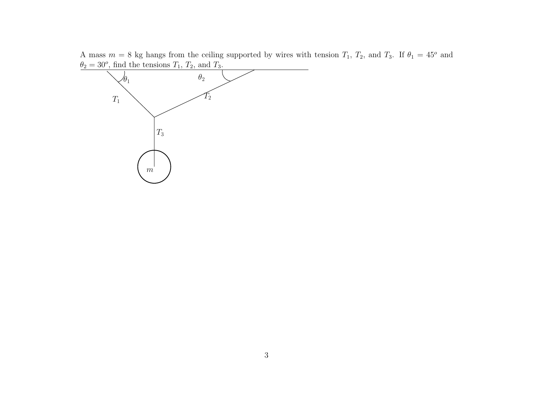A mass  $m = 8$  kg hangs from the ceiling supported by wires with tension  $T_1$ ,  $T_2$ , and  $T_3$ . If  $\theta_1 = 45^{\circ}$  and  $\theta_2 = 30^{\circ}$ , find the tensions  $T_1$ ,  $T_2$ , and  $T_3$ .

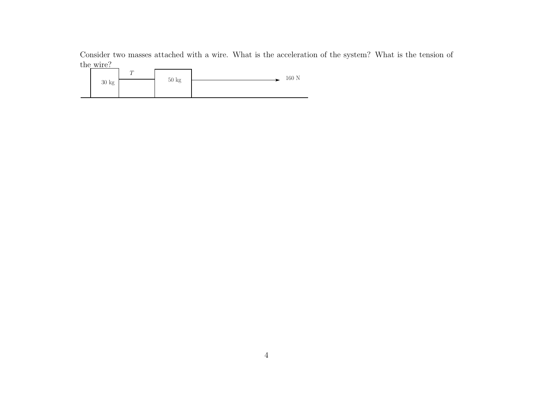Consider two masses attached with a wire. What is the acceleration of the system? What is the tension of the wire?

| $30~\mathrm{kg}$ | $\sqrt{1}$ | $50~\mathrm{kg}$ | 160 N |
|------------------|------------|------------------|-------|
|                  |            |                  |       |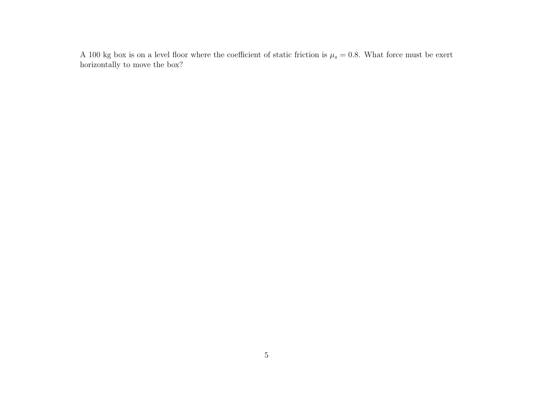A 100 kg box is on a level floor where the coefficient of static friction is  $\mu_s = 0.8$ . What force must be exert horizontally to move the box?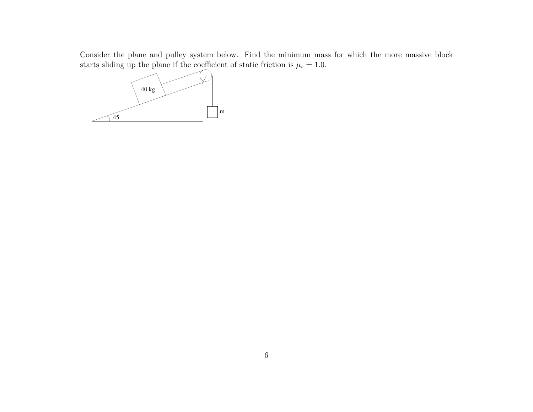Consider the plane and pulley system below. Find the minimum mass for which the more massive block starts sliding up the plane if the coefficient of static friction is  $\mu_s = 1.0$ .

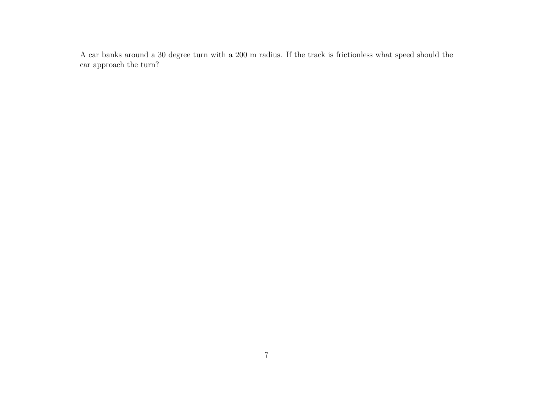A car banks around a 30 degree turn with a 200 m radius. If the track is frictionless what speed should the car approach the turn?